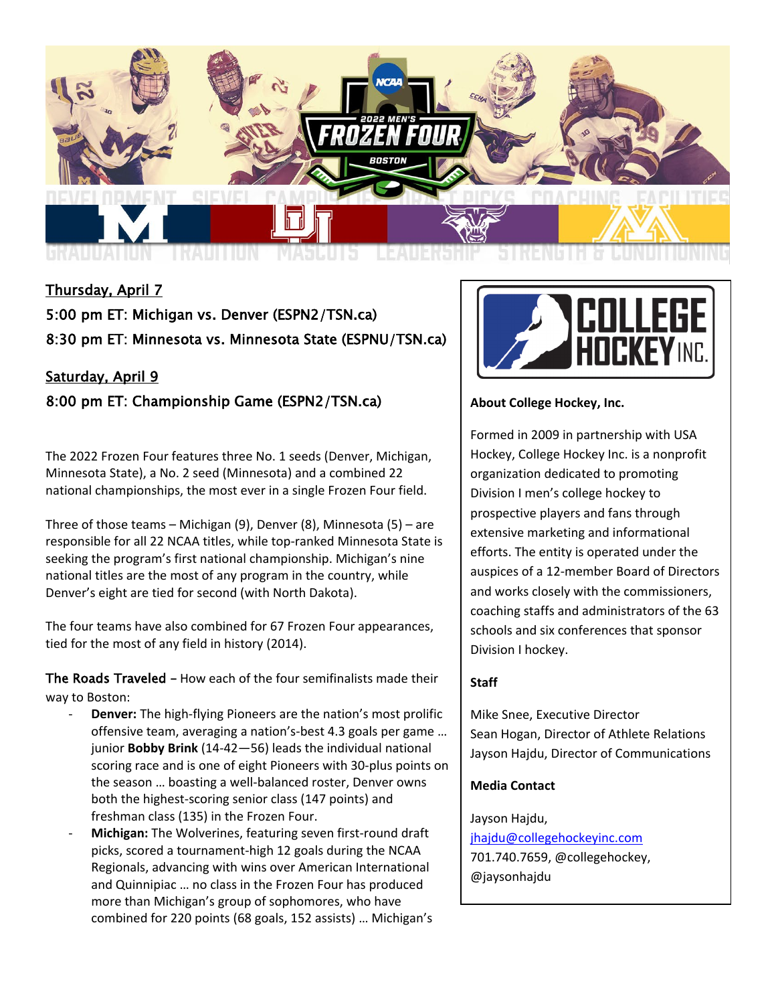

# Thursday, April 7

5:00 pm ET: Michigan vs. Denver (ESPN2/TSN.ca) 8:30 pm ET: Minnesota vs. Minnesota State (ESPNU/TSN.ca)

# Saturday, April 9 8:00 pm ET: Championship Game (ESPN2/TSN.ca)

The 2022 Frozen Four features three No. 1 seeds (Denver, Michigan, Minnesota State), a No. 2 seed (Minnesota) and a combined 22 national championships, the most ever in a single Frozen Four field.

Three of those teams – Michigan (9), Denver (8), Minnesota (5) – are responsible for all 22 NCAA titles, while top-ranked Minnesota State is seeking the program's first national championship. Michigan's nine national titles are the most of any program in the country, while Denver's eight are tied for second (with North Dakota).

The four teams have also combined for 67 Frozen Four appearances, tied for the most of any field in history (2014).

The Roads Traveled – How each of the four semifinalists made their way to Boston:

- **Denver:** The high-flying Pioneers are the nation's most prolific offensive team, averaging a nation's-best 4.3 goals per game … junior **Bobby Brink** (14-42—56) leads the individual national scoring race and is one of eight Pioneers with 30-plus points on the season … boasting a well-balanced roster, Denver owns both the highest-scoring senior class (147 points) and freshman class (135) in the Frozen Four.
- **Michigan:** The Wolverines, featuring seven first-round draft picks, scored a tournament-high 12 goals during the NCAA Regionals, advancing with wins over American International and Quinnipiac … no class in the Frozen Four has produced more than Michigan's group of sophomores, who have combined for 220 points (68 goals, 152 assists) … Michigan's



# **About College Hockey, Inc.**

Formed in 2009 in partnership with USA Hockey, College Hockey Inc. is a nonprofit organization dedicated to promoting Division I men's college hockey to prospective players and fans through extensive marketing and informational efforts. The entity is operated under the auspices of a 12-member Board of Directors and works closely with the commissioners, coaching staffs and administrators of the 63 schools and six conferences that sponsor Division I hockey.

# **Staff**

Mike Snee, Executive Director Sean Hogan, Director of Athlete Relations Jayson Hajdu, Director of Communications

# **Media Contact**

Jayson Hajdu,

[jhajdu@collegehockeyinc.com](mailto:jhajdu@collegehockeyinc.com) 701.740.7659, @collegehockey, @jaysonhajdu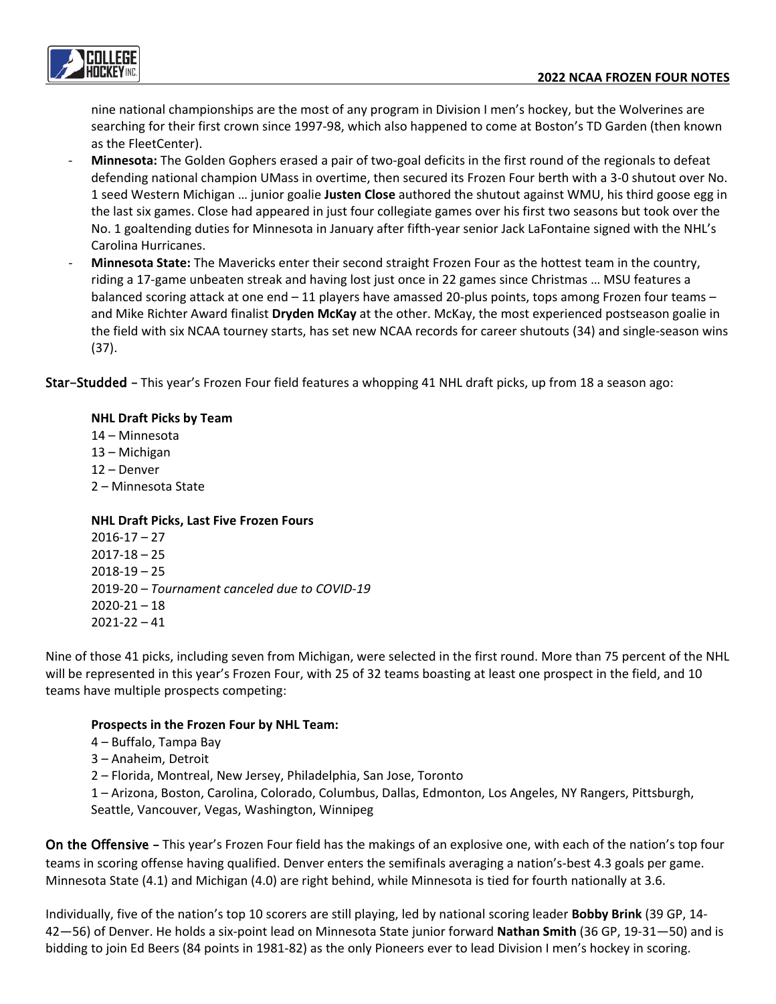

nine national championships are the most of any program in Division I men's hockey, but the Wolverines are searching for their first crown since 1997-98, which also happened to come at Boston's TD Garden (then known as the FleetCenter).

- **Minnesota:** The Golden Gophers erased a pair of two-goal deficits in the first round of the regionals to defeat defending national champion UMass in overtime, then secured its Frozen Four berth with a 3-0 shutout over No. 1 seed Western Michigan … junior goalie **Justen Close** authored the shutout against WMU, his third goose egg in the last six games. Close had appeared in just four collegiate games over his first two seasons but took over the No. 1 goaltending duties for Minnesota in January after fifth-year senior Jack LaFontaine signed with the NHL's Carolina Hurricanes.
- **Minnesota State:** The Mavericks enter their second straight Frozen Four as the hottest team in the country, riding a 17-game unbeaten streak and having lost just once in 22 games since Christmas … MSU features a balanced scoring attack at one end – 11 players have amassed 20-plus points, tops among Frozen four teams – and Mike Richter Award finalist **Dryden McKay** at the other. McKay, the most experienced postseason goalie in the field with six NCAA tourney starts, has set new NCAA records for career shutouts (34) and single-season wins (37).

Star-Studded – This year's Frozen Four field features a whopping 41 NHL draft picks, up from 18 a season ago:

## **NHL Draft Picks by Team**

14 – Minnesota 13 – Michigan

- 12 Denver
- 2 Minnesota State

# **NHL Draft Picks, Last Five Frozen Fours**

2016-17 – 27  $2017 - 18 - 25$  $2018 - 19 - 25$ 2019-20 – *Tournament canceled due to COVID-19*  $2020 - 21 - 18$ 2021-22 – 41

Nine of those 41 picks, including seven from Michigan, were selected in the first round. More than 75 percent of the NHL will be represented in this year's Frozen Four, with 25 of 32 teams boasting at least one prospect in the field, and 10 teams have multiple prospects competing:

## **Prospects in the Frozen Four by NHL Team:**

4 – Buffalo, Tampa Bay

3 – Anaheim, Detroit

2 – Florida, Montreal, New Jersey, Philadelphia, San Jose, Toronto

1 – Arizona, Boston, Carolina, Colorado, Columbus, Dallas, Edmonton, Los Angeles, NY Rangers, Pittsburgh, Seattle, Vancouver, Vegas, Washington, Winnipeg

On the Offensive – This year's Frozen Four field has the makings of an explosive one, with each of the nation's top four teams in scoring offense having qualified. Denver enters the semifinals averaging a nation's-best 4.3 goals per game. Minnesota State (4.1) and Michigan (4.0) are right behind, while Minnesota is tied for fourth nationally at 3.6.

Individually, five of the nation's top 10 scorers are still playing, led by national scoring leader **Bobby Brink** (39 GP, 14- 42—56) of Denver. He holds a six-point lead on Minnesota State junior forward **Nathan Smith** (36 GP, 19-31—50) and is bidding to join Ed Beers (84 points in 1981-82) as the only Pioneers ever to lead Division I men's hockey in scoring.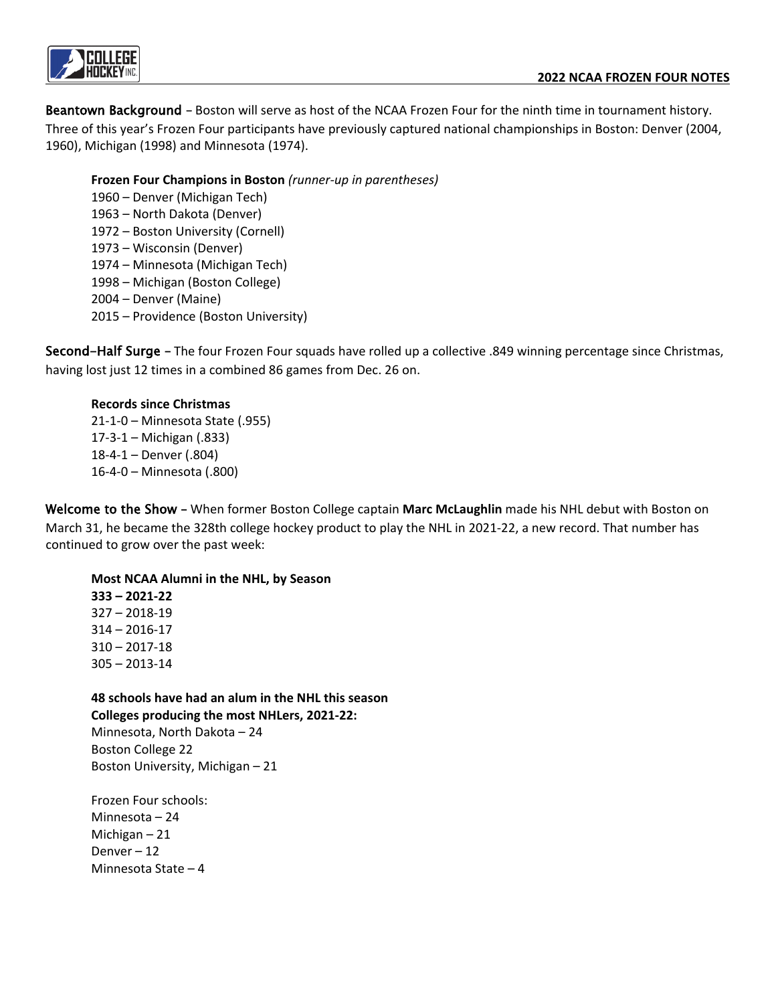

Beantown Background - Boston will serve as host of the NCAA Frozen Four for the ninth time in tournament history. Three of this year's Frozen Four participants have previously captured national championships in Boston: Denver (2004, 1960), Michigan (1998) and Minnesota (1974).

## **Frozen Four Champions in Boston** *(runner-up in parentheses)*

1960 – Denver (Michigan Tech) 1963 – North Dakota (Denver) 1972 – Boston University (Cornell) 1973 – Wisconsin (Denver) 1974 – Minnesota (Michigan Tech) 1998 – Michigan (Boston College) 2004 – Denver (Maine) 2015 – Providence (Boston University)

Second-Half Surge – The four Frozen Four squads have rolled up a collective .849 winning percentage since Christmas, having lost just 12 times in a combined 86 games from Dec. 26 on.

# **Records since Christmas**

21-1-0 – Minnesota State (.955) 17-3-1 – Michigan (.833) 18-4-1 – Denver (.804) 16-4-0 – Minnesota (.800)

Welcome to the Show – When former Boston College captain **Marc McLaughlin** made his NHL debut with Boston on March 31, he became the 328th college hockey product to play the NHL in 2021-22, a new record. That number has continued to grow over the past week:

# **Most NCAA Alumni in the NHL, by Season**

**333 – 2021-22**  327 – 2018-19 314 – 2016-17 310 – 2017-18 305 – 2013-14

**48 schools have had an alum in the NHL this season Colleges producing the most NHLers, 2021-22:** 

Minnesota, North Dakota – 24 Boston College 22 Boston University, Michigan – 21

Frozen Four schools: Minnesota – 24 Michigan – 21 Denver – 12 Minnesota State – 4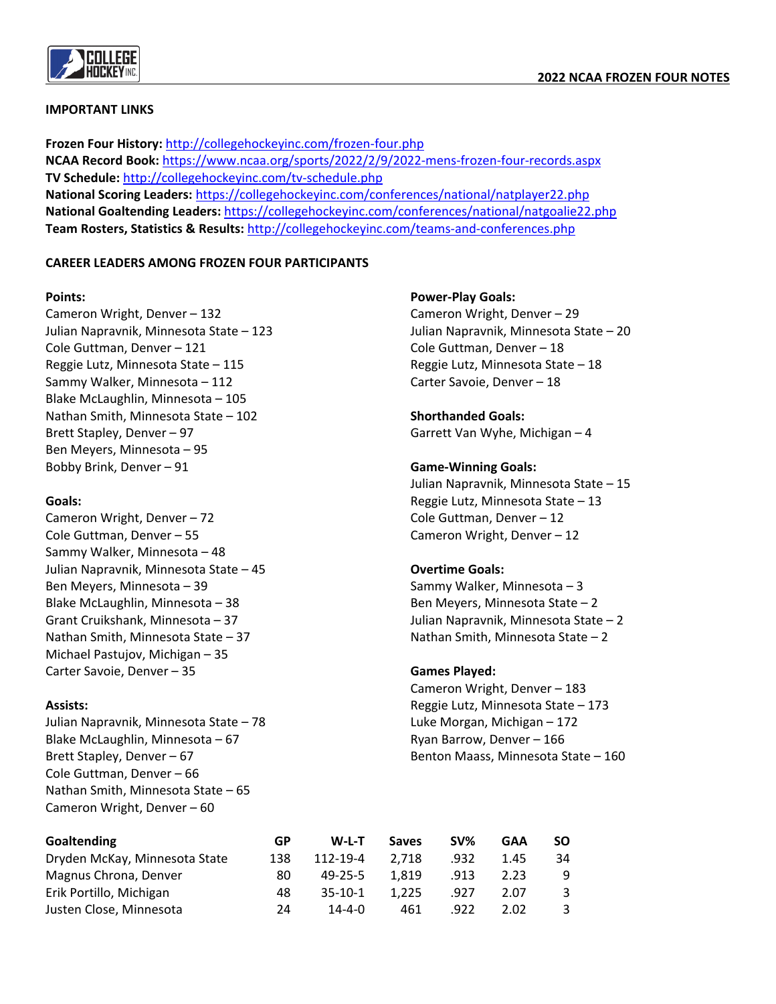

#### **IMPORTANT LINKS**

**Frozen Four History:** <http://collegehockeyinc.com/frozen-four.php> **NCAA Record Book:** <https://www.ncaa.org/sports/2022/2/9/2022-mens-frozen-four-records.aspx> **TV Schedule:** <http://collegehockeyinc.com/tv-schedule.php> **National Scoring Leaders:** <https://collegehockeyinc.com/conferences/national/natplayer22.php> **National Goaltending Leaders:** <https://collegehockeyinc.com/conferences/national/natgoalie22.php> **Team Rosters, Statistics & Results:** <http://collegehockeyinc.com/teams-and-conferences.php>

## **CAREER LEADERS AMONG FROZEN FOUR PARTICIPANTS**

#### **Points:**

Cameron Wright, Denver – 132 Julian Napravnik, Minnesota State – 123 Cole Guttman, Denver – 121 Reggie Lutz, Minnesota State – 115 Sammy Walker, Minnesota – 112 Blake McLaughlin, Minnesota – 105 Nathan Smith, Minnesota State – 102 Brett Stapley, Denver – 97 Ben Meyers, Minnesota – 95 Bobby Brink, Denver – 91

#### **Goals:**

Cameron Wright, Denver – 72 Cole Guttman, Denver – 55 Sammy Walker, Minnesota – 48 Julian Napravnik, Minnesota State – 45 Ben Meyers, Minnesota – 39 Blake McLaughlin, Minnesota – 38 Grant Cruikshank, Minnesota – 37 Nathan Smith, Minnesota State – 37 Michael Pastujov, Michigan – 35 Carter Savoie, Denver – 35

## **Assists:**

Julian Napravnik, Minnesota State – 78 Blake McLaughlin, Minnesota – 67 Brett Stapley, Denver – 67 Cole Guttman, Denver – 66 Nathan Smith, Minnesota State – 65 Cameron Wright, Denver – 60

#### **Power-Play Goals:**

Cameron Wright, Denver – 29 Julian Napravnik, Minnesota State – 20 Cole Guttman, Denver – 18 Reggie Lutz, Minnesota State – 18 Carter Savoie, Denver – 18

# **Shorthanded Goals:**

Garrett Van Wyhe, Michigan – 4

## **Game-Winning Goals:**

Julian Napravnik, Minnesota State – 15 Reggie Lutz, Minnesota State – 13 Cole Guttman, Denver – 12 Cameron Wright, Denver – 12

## **Overtime Goals:**

Sammy Walker, Minnesota – 3 Ben Meyers, Minnesota State – 2 Julian Napravnik, Minnesota State – 2 Nathan Smith, Minnesota State – 2

## **Games Played:**

Cameron Wright, Denver – 183 Reggie Lutz, Minnesota State – 173 Luke Morgan, Michigan – 172 Ryan Barrow, Denver – 166 Benton Maass, Minnesota State – 160

| Goaltending                   | GP  | W-L-T        | <b>Saves</b> | SV%  | GAA  | SΟ |
|-------------------------------|-----|--------------|--------------|------|------|----|
| Dryden McKay, Minnesota State | 138 | 112-19-4     | 2.718        | .932 | 1.45 | 34 |
| Magnus Chrona, Denver         | 80  | 49-25-5      | 1.819        | .913 | 2.23 | 9  |
| Erik Portillo, Michigan       | 48  | $35-10-1$    | 1.225        | .927 | 2.07 | 3  |
| Justen Close, Minnesota       | 24  | $14 - 4 - 0$ | 461          | .922 | 2.02 |    |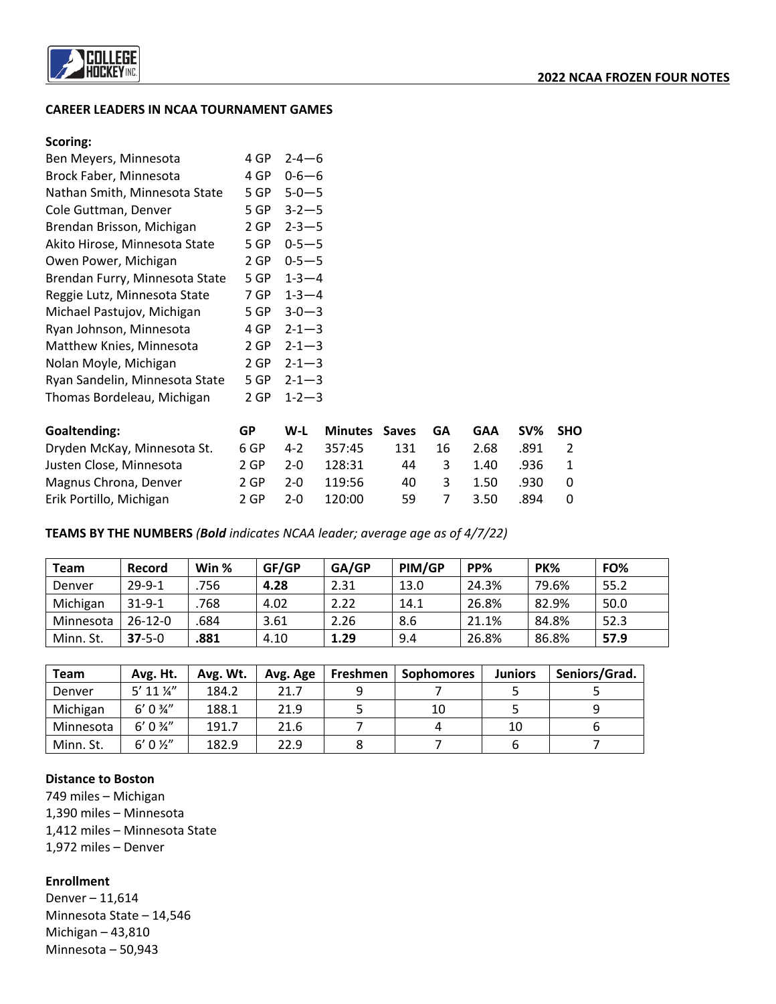

#### **CAREER LEADERS IN NCAA TOURNAMENT GAMES**

#### **Scoring:**

| Ben Meyers, Minnesota          | 4 GP | $2 - 4 - 6$ |
|--------------------------------|------|-------------|
| Brock Faber, Minnesota         | 4 GP | $0 - 6 - 6$ |
| Nathan Smith, Minnesota State  | 5 GP | $5 - 0 - 5$ |
| Cole Guttman, Denver           | 5 GP | $3 - 2 - 5$ |
| Brendan Brisson, Michigan      | 2 GP | $2 - 3 - 5$ |
| Akito Hirose, Minnesota State  | 5 GP | $0 - 5 - 5$ |
| Owen Power, Michigan           | 2 GP | $0 - 5 - 5$ |
| Brendan Furry, Minnesota State | 5 GP | $1 - 3 - 4$ |
| Reggie Lutz, Minnesota State   | 7 GP | $1 - 3 - 4$ |
| Michael Pastujov, Michigan     | 5 GP | $3 - 0 - 3$ |
| Ryan Johnson, Minnesota        | 4 GP | $2 - 1 - 3$ |
| Matthew Knies, Minnesota       | 2 GP | $2 - 1 - 3$ |
| Nolan Moyle, Michigan          | 2 GP | $2 - 1 - 3$ |
| Ryan Sandelin, Minnesota State | 5 GP | $2 - 1 - 3$ |
| Thomas Bordeleau, Michigan     | 2 GP | $1 - 2 - 3$ |
|                                |      |             |

| Goaltending:                | GP   | W-L     | <b>Minutes Saves GA</b> |     |              | <b>GAA</b> | SV% SHO |  |
|-----------------------------|------|---------|-------------------------|-----|--------------|------------|---------|--|
| Dryden McKay, Minnesota St. | 6 GP | $4 - 2$ | 357:45                  | 131 | 16           | 2.68       | .891    |  |
| Justen Close, Minnesota     | 2 GP | $2 - 0$ | 128:31                  | 44  | $\mathbf{R}$ | 1.40       | .936    |  |
| Magnus Chrona, Denver       | 2 GP | $2 - 0$ | 119:56                  | 40. | 3            | 1.50       | .930.   |  |
| Erik Portillo, Michigan     | 2 GP | $2 - 0$ | 120:00                  | 59. |              | 3.50       | .894    |  |

**TEAMS BY THE NUMBERS** *(Bold indicates NCAA leader; average age as of 4/7/22)*

| <b>Team</b> | Record       | Win % | GF/GP | GA/GP | PIM/GP | PP%   | <b>PK%</b> | FO%  |
|-------------|--------------|-------|-------|-------|--------|-------|------------|------|
| Denver      | $29 - 9 - 1$ | 756   | 4.28  | 2.31  | 13.0   | 24.3% | 79.6%      | 55.2 |
| Michigan    | $31 - 9 - 1$ | 768   | 4.02  | 2.22  | 14.1   | 26.8% | 82.9%      | 50.0 |
| Minnesota   | $26-12-0$    | 684   | 3.61  | 2.26  | 8.6    | 21.1% | 84.8%      | 52.3 |
| Minn. St.   | $37 - 5 - 0$ | .881  | 4.10  | 1.29  | 9.4    | 26.8% | 86.8%      | 57.9 |

| <b>Team</b> | Avg. Ht.              | Avg. Wt. | Avg. Age | Freshmen | <b>Sophomores</b> | <b>Juniors</b> | Seniors/Grad. |
|-------------|-----------------------|----------|----------|----------|-------------------|----------------|---------------|
| Denver      | $5'$ 11 $\frac{1}{4}$ | 184.2    | 21.7     |          |                   |                |               |
| Michigan    | $6' 0 \frac{3}{4}''$  | 188.1    | 21.9     |          | 10                |                |               |
| Minnesota   | $6' 0 \frac{3}{4}''$  | 191.7    | 21.6     |          |                   | 10             |               |
| Minn. St.   | $6' 0 \frac{1}{2}''$  | 182.9    | 22.9     |          |                   |                |               |

#### **Distance to Boston**

749 miles – Michigan 1,390 miles – Minnesota 1,412 miles – Minnesota State 1,972 miles – Denver

**Enrollment**

Denver – 11,614 Minnesota State – 14,546 Michigan – 43,810 Minnesota – 50,943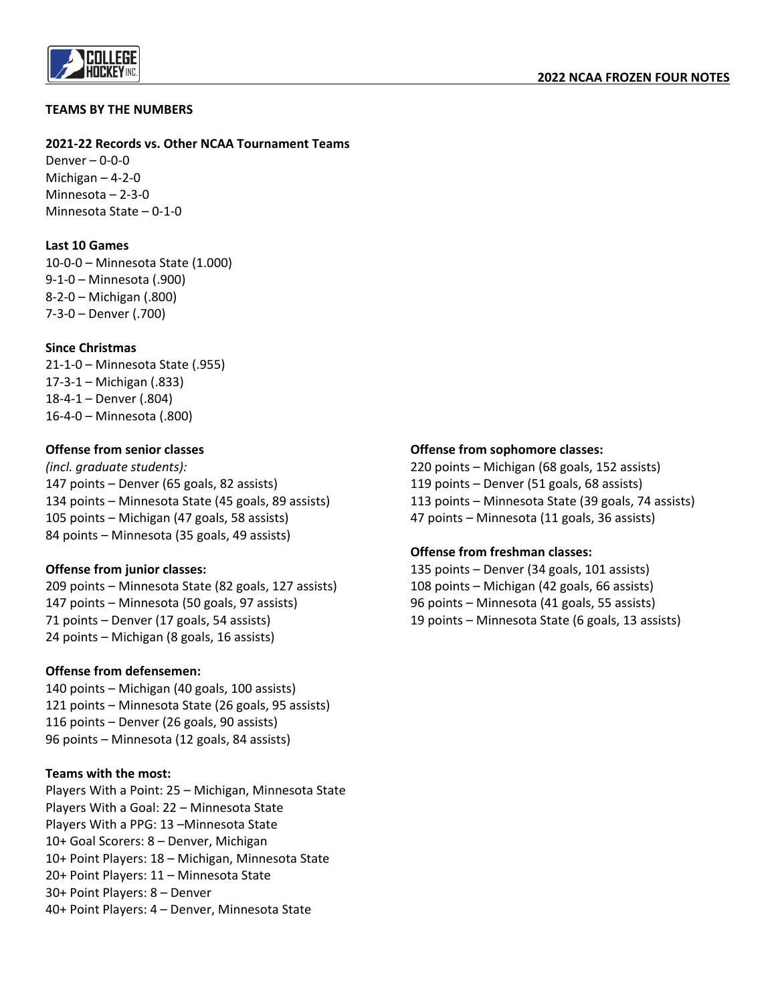

#### **TEAMS BY THE NUMBERS**

#### **2021-22 Records vs. Other NCAA Tournament Teams**

Denver – 0-0-0 Michigan – 4-2-0 Minnesota – 2-3-0 Minnesota State – 0-1-0

## **Last 10 Games**

10-0-0 – Minnesota State (1.000) 9-1-0 – Minnesota (.900) 8-2-0 – Michigan (.800) 7-3-0 – Denver (.700)

#### **Since Christmas**

21-1-0 – Minnesota State (.955) 17-3-1 – Michigan (.833) 18-4-1 – Denver (.804) 16-4-0 – Minnesota (.800)

#### **Offense from senior classes**

*(incl. graduate students):*  147 points – Denver (65 goals, 82 assists) 134 points – Minnesota State (45 goals, 89 assists) 105 points – Michigan (47 goals, 58 assists) 84 points – Minnesota (35 goals, 49 assists)

## **Offense from junior classes:**

209 points – Minnesota State (82 goals, 127 assists) 147 points – Minnesota (50 goals, 97 assists) 71 points – Denver (17 goals, 54 assists) 24 points – Michigan (8 goals, 16 assists)

#### **Offense from defensemen:**

140 points – Michigan (40 goals, 100 assists) 121 points – Minnesota State (26 goals, 95 assists) 116 points – Denver (26 goals, 90 assists) 96 points – Minnesota (12 goals, 84 assists)

#### **Teams with the most:**

Players With a Point: 25 – Michigan, Minnesota State Players With a Goal: 22 – Minnesota State Players With a PPG: 13 –Minnesota State 10+ Goal Scorers: 8 – Denver, Michigan 10+ Point Players: 18 – Michigan, Minnesota State 20+ Point Players: 11 – Minnesota State 30+ Point Players: 8 – Denver 40+ Point Players: 4 – Denver, Minnesota State

## **Offense from sophomore classes:**

220 points – Michigan (68 goals, 152 assists) 119 points – Denver (51 goals, 68 assists) 113 points – Minnesota State (39 goals, 74 assists) 47 points – Minnesota (11 goals, 36 assists)

## **Offense from freshman classes:**

135 points – Denver (34 goals, 101 assists) 108 points – Michigan (42 goals, 66 assists) 96 points – Minnesota (41 goals, 55 assists) 19 points – Minnesota State (6 goals, 13 assists)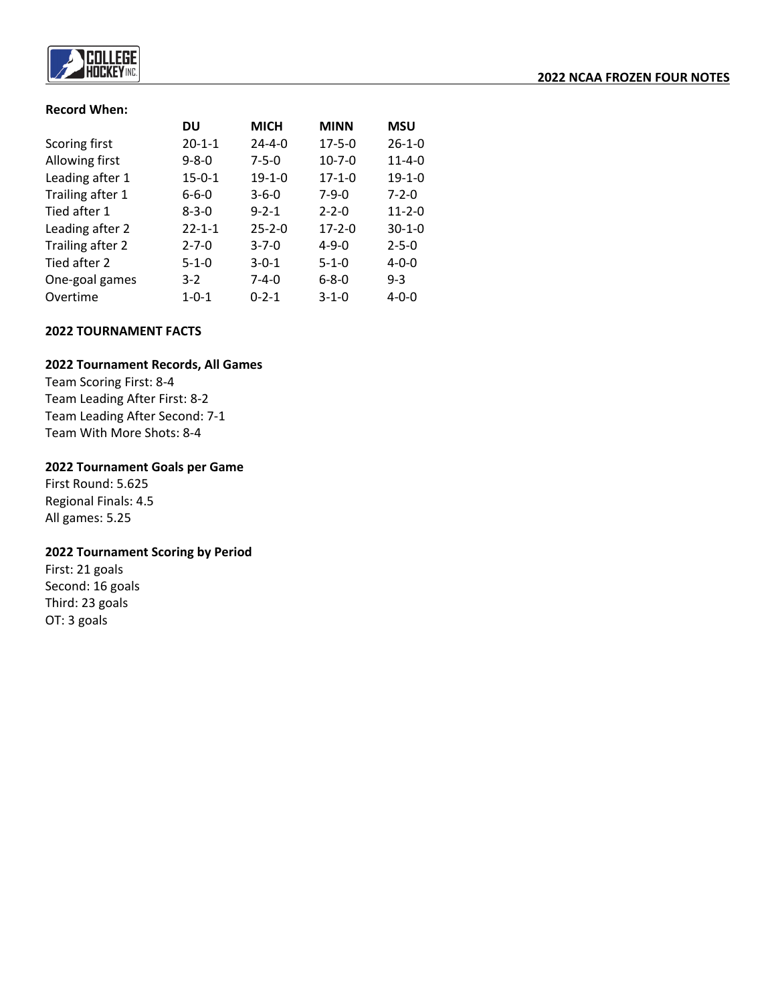

#### **Record When:**

|                  | DU           | <b>MICH</b>  | <b>MINN</b>  | <b>MSU</b>   |
|------------------|--------------|--------------|--------------|--------------|
| Scoring first    | $20 - 1 - 1$ | $24 - 4 - 0$ | $17 - 5 - 0$ | $26 - 1 - 0$ |
| Allowing first   | $9 - 8 - 0$  | $7 - 5 - 0$  | $10 - 7 - 0$ | $11 - 4 - 0$ |
| Leading after 1  | $15 - 0 - 1$ | $19 - 1 - 0$ | $17 - 1 - 0$ | $19 - 1 - 0$ |
| Trailing after 1 | $6 - 6 - 0$  | $3 - 6 - 0$  | $7 - 9 - 0$  | $7 - 2 - 0$  |
| Tied after 1     | $8 - 3 - 0$  | $9 - 2 - 1$  | $2 - 2 - 0$  | $11 - 2 - 0$ |
| Leading after 2  | $22 - 1 - 1$ | $25 - 2 - 0$ | $17 - 2 - 0$ | $30 - 1 - 0$ |
| Trailing after 2 | $2 - 7 - 0$  | $3 - 7 - 0$  | $4 - 9 - 0$  | $2 - 5 - 0$  |
| Tied after 2     | $5 - 1 - 0$  | $3 - 0 - 1$  | $5 - 1 - 0$  | $4 - 0 - 0$  |
| One-goal games   | $3-2$        | $7 - 4 - 0$  | $6 - 8 - 0$  | $9 - 3$      |
| Overtime         | $1 - 0 - 1$  | $0 - 2 - 1$  | $3 - 1 - 0$  | $4 - 0 - 0$  |

## **2022 TOURNAMENT FACTS**

#### **2022 Tournament Records, All Games**

Team Scoring First: 8-4 Team Leading After First: 8-2 Team Leading After Second: 7-1 Team With More Shots: 8-4

#### **2022 Tournament Goals per Game**

First Round: 5.625 Regional Finals: 4.5 All games: 5.25

#### **2022 Tournament Scoring by Period**

First: 21 goals Second: 16 goals Third: 23 goals OT: 3 goals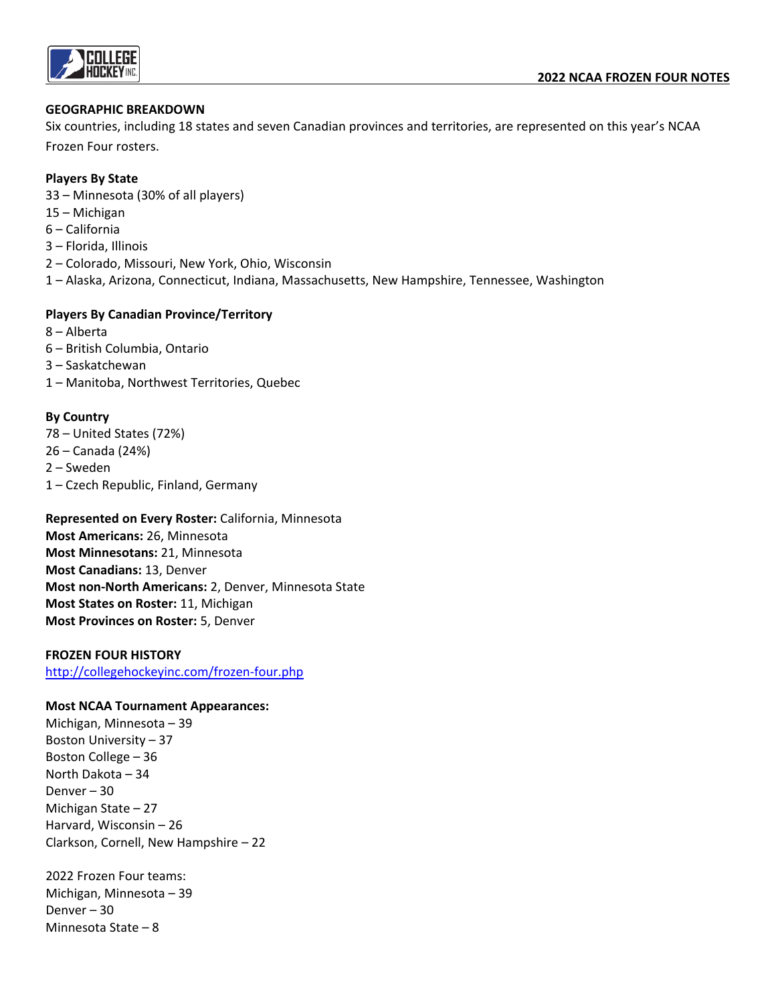

#### **GEOGRAPHIC BREAKDOWN**

Six countries, including 18 states and seven Canadian provinces and territories, are represented on this year's NCAA Frozen Four rosters.

#### **Players By State**

- 33 Minnesota (30% of all players)
- 15 Michigan
- 6 California
- 3 Florida, Illinois
- 2 Colorado, Missouri, New York, Ohio, Wisconsin
- 1 Alaska, Arizona, Connecticut, Indiana, Massachusetts, New Hampshire, Tennessee, Washington

#### **Players By Canadian Province/Territory**

- 8 Alberta
- 6 British Columbia, Ontario
- 3 Saskatchewan
- 1 Manitoba, Northwest Territories, Quebec

#### **By Country**

78 – United States (72%) 26 – Canada (24%) 2 – Sweden 1 – Czech Republic, Finland, Germany

**Represented on Every Roster:** California, Minnesota **Most Americans:** 26, Minnesota **Most Minnesotans:** 21, Minnesota **Most Canadians:** 13, Denver **Most non-North Americans:** 2, Denver, Minnesota State **Most States on Roster:** 11, Michigan **Most Provinces on Roster:** 5, Denver

#### **FROZEN FOUR HISTORY**

<http://collegehockeyinc.com/frozen-four.php>

#### **Most NCAA Tournament Appearances:**

Michigan, Minnesota – 39 Boston University – 37 Boston College – 36 North Dakota – 34 Denver – 30 Michigan State – 27 Harvard, Wisconsin – 26 Clarkson, Cornell, New Hampshire – 22

2022 Frozen Four teams: Michigan, Minnesota – 39 Denver – 30 Minnesota State – 8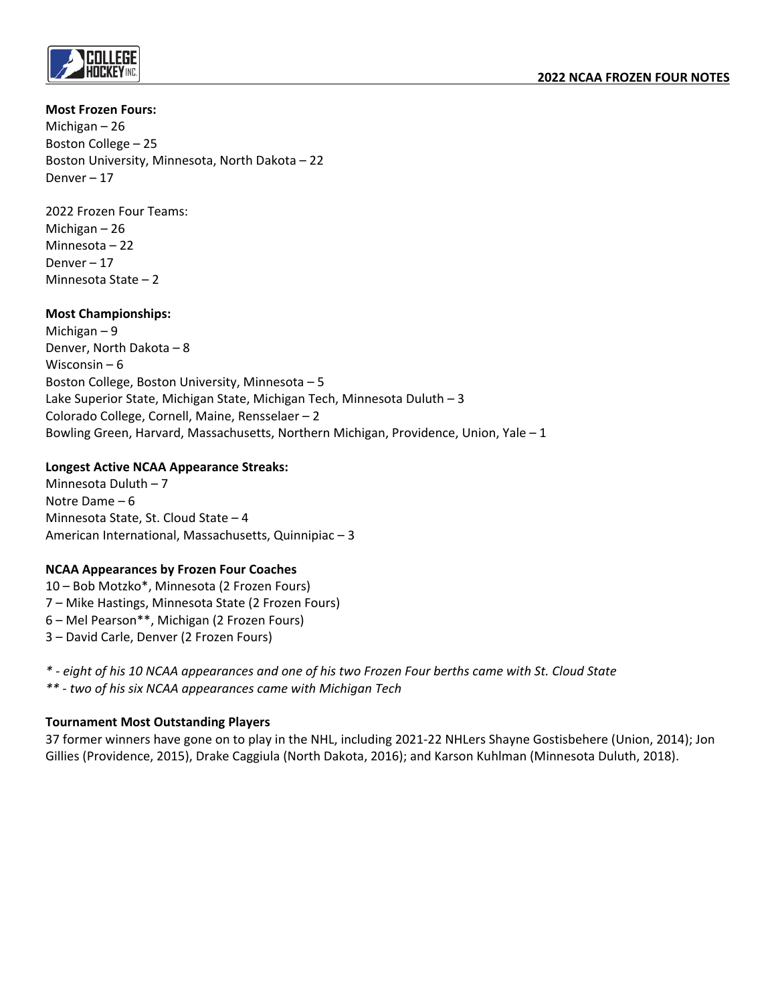

#### **Most Frozen Fours:**

Michigan – 26 Boston College – 25 Boston University, Minnesota, North Dakota – 22 Denver – 17

2022 Frozen Four Teams: Michigan – 26 Minnesota – 22 Denver – 17 Minnesota State – 2

## **Most Championships:**

Michigan – 9 Denver, North Dakota – 8 Wisconsin – 6 Boston College, Boston University, Minnesota – 5 Lake Superior State, Michigan State, Michigan Tech, Minnesota Duluth – 3 Colorado College, Cornell, Maine, Rensselaer – 2 Bowling Green, Harvard, Massachusetts, Northern Michigan, Providence, Union, Yale – 1

## **Longest Active NCAA Appearance Streaks:**

Minnesota Duluth – 7 Notre Dame – 6 Minnesota State, St. Cloud State – 4 American International, Massachusetts, Quinnipiac – 3

## **NCAA Appearances by Frozen Four Coaches**

10 – Bob Motzko\*, Minnesota (2 Frozen Fours) 7 – Mike Hastings, Minnesota State (2 Frozen Fours) 6 – Mel Pearson\*\*, Michigan (2 Frozen Fours) 3 – David Carle, Denver (2 Frozen Fours)

- *\* - eight of his 10 NCAA appearances and one of his two Frozen Four berths came with St. Cloud State*
- *\*\* - two of his six NCAA appearances came with Michigan Tech*

## **Tournament Most Outstanding Players**

37 former winners have gone on to play in the NHL, including 2021-22 NHLers Shayne Gostisbehere (Union, 2014); Jon Gillies (Providence, 2015), Drake Caggiula (North Dakota, 2016); and Karson Kuhlman (Minnesota Duluth, 2018).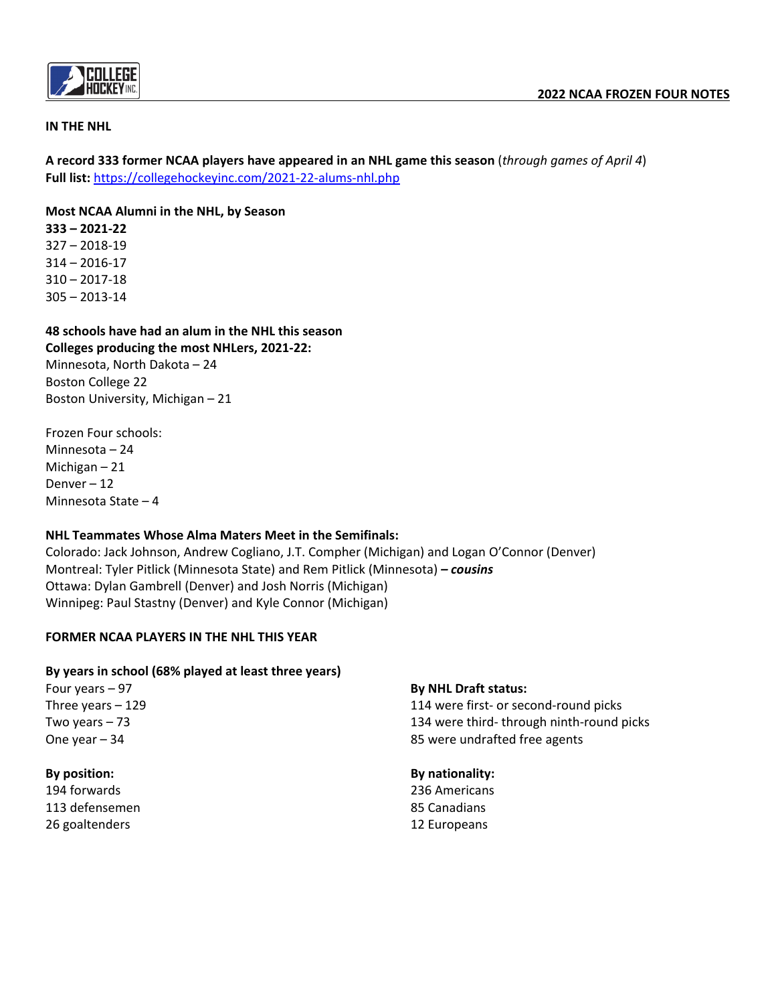

## **IN THE NHL**

**A record 333 former NCAA players have appeared in an NHL game this season** (*through games of April 4*) **Full list:** <https://collegehockeyinc.com/2021-22-alums-nhl.php>

**Most NCAA Alumni in the NHL, by Season**

**333 – 2021-22**  327 – 2018-19 314 – 2016-17 310 – 2017-18 305 – 2013-14

**48 schools have had an alum in the NHL this season Colleges producing the most NHLers, 2021-22:** Minnesota, North Dakota – 24 Boston College 22 Boston University, Michigan – 21

Frozen Four schools: Minnesota – 24 Michigan – 21 Denver – 12 Minnesota State – 4

## **NHL Teammates Whose Alma Maters Meet in the Semifinals:**

Colorado: Jack Johnson, Andrew Cogliano, J.T. Compher (Michigan) and Logan O'Connor (Denver) Montreal: Tyler Pitlick (Minnesota State) and Rem Pitlick (Minnesota) *– cousins* Ottawa: Dylan Gambrell (Denver) and Josh Norris (Michigan) Winnipeg: Paul Stastny (Denver) and Kyle Connor (Michigan)

## **FORMER NCAA PLAYERS IN THE NHL THIS YEAR**

## **By years in school (68% played at least three years)**

Four years – 97 Three years – 129 Two years – 73 One year – 34

## **By position:**

194 forwards 113 defensemen 26 goaltenders

#### **By NHL Draft status:**

114 were first- or second-round picks 134 were third- through ninth-round picks 85 were undrafted free agents

#### **By nationality:**

236 Americans 85 Canadians 12 Europeans